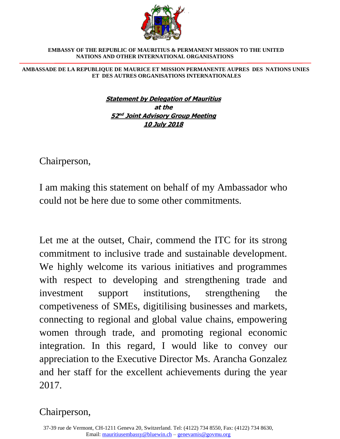

 **EMBASSY OF THE REPUBLIC OF MAURITIUS & PERMANENT MISSION TO THE UNITED NATIONS AND OTHER INTERNATIONAL ORGANISATIONS** 

 **AMBASSADE DE LA REPUBLIQUE DE MAURICE ET MISSION PERMANENTE AUPRES DES NATIONS UNIES ET DES AUTRES ORGANISATIONS INTERNATIONALES**

> **Statement by Delegation of Mauritius at the 52 nd Joint Advisory Group Meeting 10 July 2018**

Chairperson,

I am making this statement on behalf of my Ambassador who could not be here due to some other commitments.

Let me at the outset, Chair, commend the ITC for its strong commitment to inclusive trade and sustainable development. We highly welcome its various initiatives and programmes with respect to developing and strengthening trade and investment support institutions, strengthening the competiveness of SMEs, digitilising businesses and markets, connecting to regional and global value chains, empowering women through trade, and promoting regional economic integration. In this regard, I would like to convey our appreciation to the Executive Director Ms. Arancha Gonzalez and her staff for the excellent achievements during the year 2017.

## Chairperson,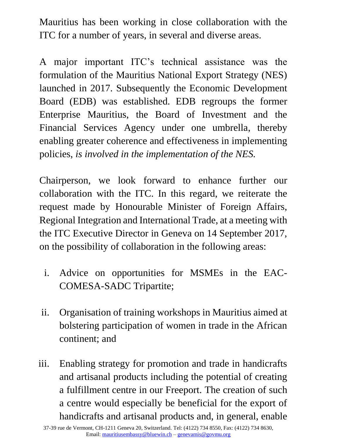Mauritius has been working in close collaboration with the ITC for a number of years, in several and diverse areas.

A major important ITC's technical assistance was the formulation of the Mauritius National Export Strategy (NES) launched in 2017. Subsequently the Economic Development Board (EDB) was established. EDB regroups the former Enterprise Mauritius, the Board of Investment and the Financial Services Agency under one umbrella, thereby enabling greater coherence and effectiveness in implementing policies, *is involved in the implementation of the NES.*

Chairperson, we look forward to enhance further our collaboration with the ITC. In this regard, we reiterate the request made by Honourable Minister of Foreign Affairs, Regional Integration and International Trade, at a meeting with the ITC Executive Director in Geneva on 14 September 2017, on the possibility of collaboration in the following areas:

- i. Advice on opportunities for MSMEs in the EAC-COMESA-SADC Tripartite;
- ii. Organisation of training workshops in Mauritius aimed at bolstering participation of women in trade in the African continent; and
- iii. Enabling strategy for promotion and trade in handicrafts and artisanal products including the potential of creating a fulfillment centre in our Freeport. The creation of such a centre would especially be beneficial for the export of handicrafts and artisanal products and, in general, enable